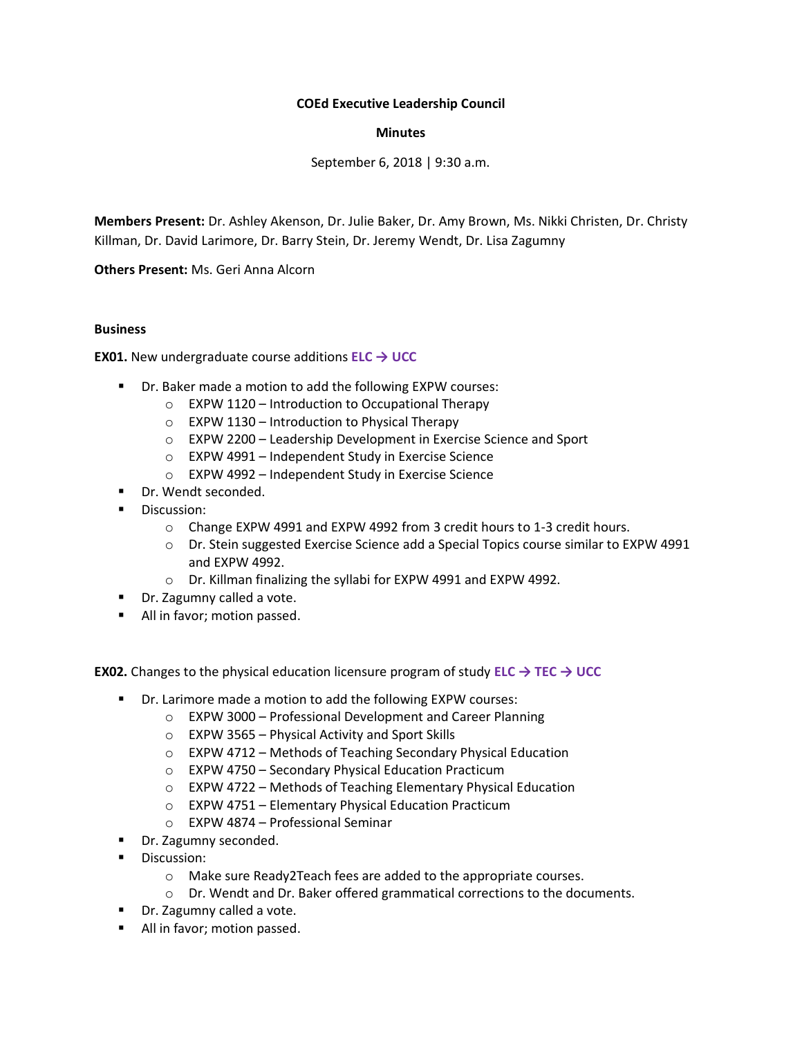## **COEd Executive Leadership Council**

## **Minutes**

September 6, 2018 | 9:30 a.m.

**Members Present:** Dr. Ashley Akenson, Dr. Julie Baker, Dr. Amy Brown, Ms. Nikki Christen, Dr. Christy Killman, Dr. David Larimore, Dr. Barry Stein, Dr. Jeremy Wendt, Dr. Lisa Zagumny

**Others Present:** Ms. Geri Anna Alcorn

#### **Business**

**EX01.** New undergraduate course additions **ELC → UCC**

- Dr. Baker made a motion to add the following EXPW courses:
	- o EXPW 1120 Introduction to Occupational Therapy
		- $\circ$  EXPW 1130 Introduction to Physical Therapy
		- o EXPW 2200 Leadership Development in Exercise Science and Sport
		- o EXPW 4991 Independent Study in Exercise Science
	- o EXPW 4992 Independent Study in Exercise Science
- Dr. Wendt seconded.
- Discussion:
	- o Change EXPW 4991 and EXPW 4992 from 3 credit hours to 1-3 credit hours.
	- o Dr. Stein suggested Exercise Science add a Special Topics course similar to EXPW 4991 and EXPW 4992.
	- o Dr. Killman finalizing the syllabi for EXPW 4991 and EXPW 4992.
- Dr. Zagumny called a vote.
- All in favor; motion passed.

**EX02.** Changes to the physical education licensure program of study **ELC → TEC → UCC**

- Dr. Larimore made a motion to add the following EXPW courses:
	- o EXPW 3000 Professional Development and Career Planning
	- o EXPW 3565 Physical Activity and Sport Skills
	- o EXPW 4712 Methods of Teaching Secondary Physical Education
	- o EXPW 4750 Secondary Physical Education Practicum
	- o EXPW 4722 Methods of Teaching Elementary Physical Education
	- o EXPW 4751 Elementary Physical Education Practicum
	- o EXPW 4874 Professional Seminar
- Dr. Zagumny seconded.
- Discussion:
	- o Make sure Ready2Teach fees are added to the appropriate courses.
	- o Dr. Wendt and Dr. Baker offered grammatical corrections to the documents.
- Dr. Zagumny called a vote.
- All in favor; motion passed.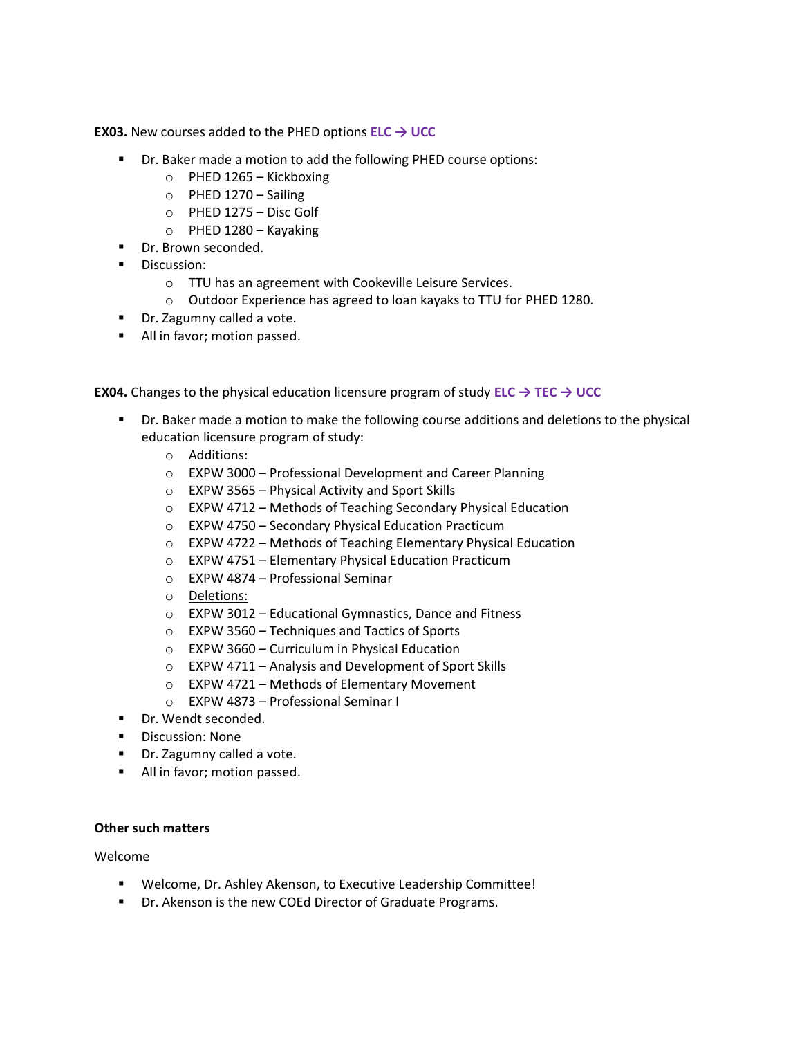**EX03.** New courses added to the PHED options **ELC → UCC**

- Dr. Baker made a motion to add the following PHED course options:
	- $\circ$  PHED 1265 Kickboxing
	- o PHED 1270 Sailing
	- o PHED 1275 Disc Golf
	- o PHED 1280 Kayaking
- Dr. Brown seconded.
- **■** Discussion:
	- o TTU has an agreement with Cookeville Leisure Services.
	- o Outdoor Experience has agreed to loan kayaks to TTU for PHED 1280.
- Dr. Zagumny called a vote.
- All in favor; motion passed.

**EX04.** Changes to the physical education licensure program of study **ELC → TEC → UCC**

- **•** Dr. Baker made a motion to make the following course additions and deletions to the physical education licensure program of study:
	- o Additions:
	- o EXPW 3000 Professional Development and Career Planning
	- o EXPW 3565 Physical Activity and Sport Skills
	- o EXPW 4712 Methods of Teaching Secondary Physical Education
	- o EXPW 4750 Secondary Physical Education Practicum
	- o EXPW 4722 Methods of Teaching Elementary Physical Education
	- o EXPW 4751 Elementary Physical Education Practicum
	- o EXPW 4874 Professional Seminar
	- o Deletions:
	- o EXPW 3012 Educational Gymnastics, Dance and Fitness
	- o EXPW 3560 Techniques and Tactics of Sports
	- o EXPW 3660 Curriculum in Physical Education
	- o EXPW 4711 Analysis and Development of Sport Skills
	- o EXPW 4721 Methods of Elementary Movement
	- o EXPW 4873 Professional Seminar I
- Dr. Wendt seconded.
- Discussion: None
- Dr. Zagumny called a vote.
- All in favor; motion passed.

#### **Other such matters**

Welcome

- Welcome, Dr. Ashley Akenson, to Executive Leadership Committee!
- Dr. Akenson is the new COEd Director of Graduate Programs.